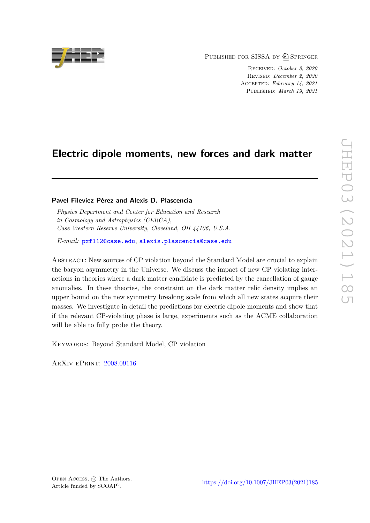PUBLISHED FOR SISSA BY 2 SPRINGER

Received: *October 8, 2020* Revised: *December 2, 2020* Accepted: *February 14, 2021* Published: *March 19, 2021*

# **Electric dipole moments, new forces and dark matter**

# **Pavel Fileviez Pérez and Alexis D. Plascencia**

*Physics Department and Center for Education and Research in Cosmology and Astrophysics (CERCA), Case Western Reserve University, Cleveland, OH 44106, U.S.A.*

*E-mail:* [pxf112@case.edu](mailto:pxf112@case.edu), [alexis.plascencia@case.edu](mailto:alexis.plascencia@case.edu)

Abstract: New sources of CP violation beyond the Standard Model are crucial to explain the baryon asymmetry in the Universe. We discuss the impact of new CP violating interactions in theories where a dark matter candidate is predicted by the cancellation of gauge anomalies. In these theories, the constraint on the dark matter relic density implies an upper bound on the new symmetry breaking scale from which all new states acquire their masses. We investigate in detail the predictions for electric dipole moments and show that if the relevant CP-violating phase is large, experiments such as the ACME collaboration will be able to fully probe the theory.

Keywords: Beyond Standard Model, CP violation

ArXiv ePrint: [2008.09116](https://arxiv.org/abs/2008.09116)

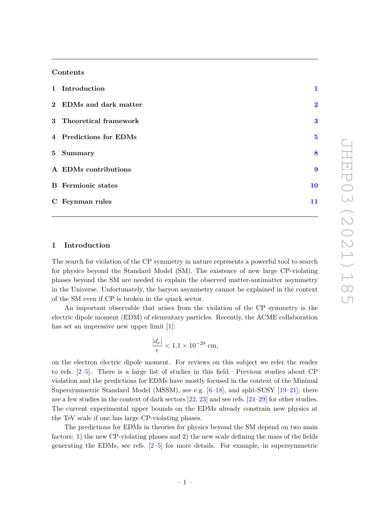## **Contents**

| 1 Introduction            | 1                       |
|---------------------------|-------------------------|
| 2 EDMs and dark matter    | $\overline{\mathbf{2}}$ |
| 3 Theoretical framework   | $\bf{3}$                |
| 4 Predictions for EDMs    | $\overline{\mathbf{5}}$ |
| 5 Summary                 | 8                       |
| A EDMs contributions      | $\boldsymbol{9}$        |
| <b>B</b> Fermionic states | 10                      |
| C Feynman rules           | 11                      |

#### <span id="page-1-0"></span>**1 Introduction**

The search for violation of the CP symmetry in nature represents a powerful tool to search for physics beyond the Standard Model (SM). The existence of new large CP-violating phases beyond the SM are needed to explain the observed matter-antimatter asymmetry in the Universe. Unfortunately, the baryon asymmetry cannot be explained in the context of the SM even if CP is broken in the quark sector.

An important observable that arises from the violation of the CP symmetry is the electric dipole moment (EDM) of elementary particles. Recently, the ACME collaboration has set an impressive new upper limit [\[1\]](#page-11-1):

$$
\frac{|d_e|}{e} < 1.1 \times 10^{-29} \, \text{cm},
$$

on the electron electric dipole moment. For reviews on this subject we refer the reader to refs. [\[2–](#page-11-2)[5\]](#page-12-0). There is a large list of studies in this field. Previous studies about CP violation and the predictions for EDMs have mostly focused in the context of the Minimal Supersymmetric Standard Model (MSSM), see e.g.  $[6-18]$  $[6-18]$ , and split-SUSY  $[19-21]$  $[19-21]$ ; there are a few studies in the context of dark sectors [\[22,](#page-12-5) [23\]](#page-12-6) and see refs. [\[24–](#page-12-7)[29\]](#page-13-0) for other studies. The current experimental upper bounds on the EDMs already constrain new physics at the TeV scale if one has large CP-violating phases.

The predictions for EDMs in theories for physics beyond the SM depend on two main factors: 1) the new CP-violating phases and 2) the new scale defining the mass of the fields generating the EDMs, see refs. [\[2–](#page-11-2)[5\]](#page-12-0) for more details. For example, in supersymmetric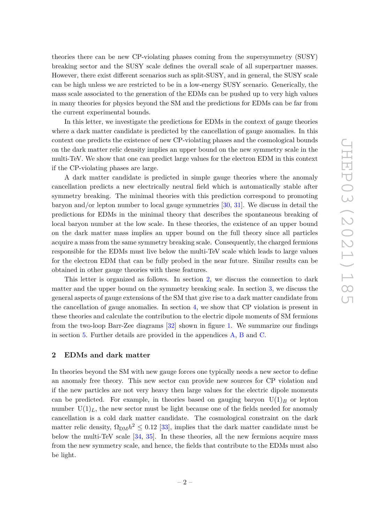theories there can be new CP-violating phases coming from the supersymmetry (SUSY) breaking sector and the SUSY scale defines the overall scale of all superpartner masses. However, there exist different scenarios such as split-SUSY, and in general, the SUSY scale can be high unless we are restricted to be in a low-energy SUSY scenario. Generically, the mass scale associated to the generation of the EDMs can be pushed up to very high values in many theories for physics beyond the SM and the predictions for EDMs can be far from the current experimental bounds.

In this letter, we investigate the predictions for EDMs in the context of gauge theories where a dark matter candidate is predicted by the cancellation of gauge anomalies. In this context one predicts the existence of new CP-violating phases and the cosmological bounds on the dark matter relic density implies an upper bound on the new symmetry scale in the multi-TeV. We show that one can predict large values for the electron EDM in this context if the CP-violating phases are large.

A dark matter candidate is predicted in simple gauge theories where the anomaly cancellation predicts a new electrically neutral field which is automatically stable after symmetry breaking. The minimal theories with this prediction correspond to promoting baryon and/or lepton number to local gauge symmetries [\[30,](#page-13-1) [31\]](#page-13-2). We discuss in detail the predictions for EDMs in the minimal theory that describes the spontaneous breaking of local baryon number at the low scale. In these theories, the existence of an upper bound on the dark matter mass implies an upper bound on the full theory since all particles acquire a mass from the same symmetry breaking scale. Consequently, the charged fermions responsible for the EDMs must live below the multi-TeV scale which leads to large values for the electron EDM that can be fully probed in the near future. Similar results can be obtained in other gauge theories with these features.

This letter is organized as follows. In section [2,](#page-2-0) we discuss the connection to dark matter and the upper bound on the symmetry breaking scale. In section [3,](#page-3-0) we discuss the general aspects of gauge extensions of the SM that give rise to a dark matter candidate from the cancellation of gauge anomalies. In section [4,](#page-5-0) we show that CP violation is present in these theories and calculate the contribution to the electric dipole moments of SM fermions from the two-loop Barr-Zee diagrams [\[32\]](#page-13-3) shown in figure [1.](#page-3-1) We summarize our findings in section [5.](#page-8-0) Further details are provided in the appendices [A,](#page-9-0) [B](#page-10-0) and [C.](#page-11-0)

#### <span id="page-2-0"></span>**2 EDMs and dark matter**

In theories beyond the SM with new gauge forces one typically needs a new sector to define an anomaly free theory. This new sector can provide new sources for CP violation and if the new particles are not very heavy then large values for the electric dipole moments can be predicted. For example, in theories based on gauging baryon  $U(1)_B$  or lepton number  $U(1)<sub>L</sub>$ , the new sector must be light because one of the fields needed for anomaly cancellation is a cold dark matter candidate. The cosmological constraint on the dark matter relic density,  $\Omega_{\text{DM}}h^2 \leq 0.12$  [\[33\]](#page-13-4), implies that the dark matter candidate must be below the multi-TeV scale [\[34,](#page-13-5) [35\]](#page-13-6). In these theories, all the new fermions acquire mass from the new symmetry scale, and hence, the fields that contribute to the EDMs must also be light.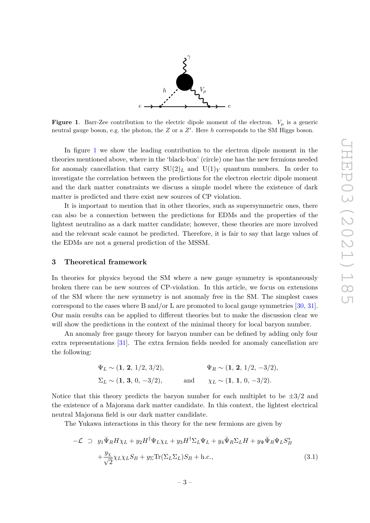

<span id="page-3-1"></span>**Figure 1.** Barr-Zee contribution to the electric dipole moment of the electron.  $V_\mu$  is a generic neutral gauge boson, e.g. the photon, the *Z* or a *Z'*. Here *h* corresponds to the SM Higgs boson.

In figure [1](#page-3-1) we show the leading contribution to the electron dipole moment in the theories mentioned above, where in the 'black-box' (circle) one has the new fermions needed for anomaly cancellation that carry  $SU(2)_L$  and  $U(1)_Y$  quantum numbers. In order to investigate the correlation between the predictions for the electron electric dipole moment and the dark matter constraints we discuss a simple model where the existence of dark matter is predicted and there exist new sources of CP violation.

It is important to mention that in other theories, such as supersymmetric ones, there can also be a connection between the predictions for EDMs and the properties of the lightest neutralino as a dark matter candidate; however, these theories are more involved and the relevant scale cannot be predicted. Therefore, it is fair to say that large values of the EDMs are not a general prediction of the MSSM.

#### <span id="page-3-0"></span>**3 Theoretical framework**

In theories for physics beyond the SM where a new gauge symmetry is spontaneously broken there can be new sources of CP-violation. In this article, we focus on extensions of the SM where the new symmetry is not anomaly free in the SM. The simplest cases correspond to the cases where B and/or L are promoted to local gauge symmetries [\[30,](#page-13-1) [31\]](#page-13-2). Our main results can be applied to different theories but to make the discussion clear we will show the predictions in the context of the minimal theory for local baryon number.

An anomaly free gauge theory for baryon number can be defined by adding only four extra representations [\[31\]](#page-13-2). The extra fermion fields needed for anomaly cancellation are the following:

$$
\Psi_L \sim (1, 2, 1/2, 3/2),
$$
  $\Psi_R \sim (1, 2, 1/2, -3/2),$   
\n $\Sigma_L \sim (1, 3, 0, -3/2),$  and  $\chi_L \sim (1, 1, 0, -3/2).$ 

Notice that this theory predicts the baryon number for each multiplet to be  $\pm 3/2$  and the existence of a Majorana dark matter candidate. In this context, the lightest electrical neutral Majorana field is our dark matter candidate.

The Yukawa interactions in this theory for the new fermions are given by

<span id="page-3-2"></span>
$$
-\mathcal{L} \supset y_1 \bar{\Psi}_R H \chi_L + y_2 H^{\dagger} \Psi_L \chi_L + y_3 H^{\dagger} \Sigma_L \Psi_L + y_4 \bar{\Psi}_R \Sigma_L H + y_\Psi \bar{\Psi}_R \Psi_L S_B^*
$$
  
+ 
$$
\frac{y_\chi}{\sqrt{2}} \chi_L \chi_L S_B + y_\Sigma \text{Tr}(\Sigma_L \Sigma_L) S_B + \text{h.c.},
$$
(3.1)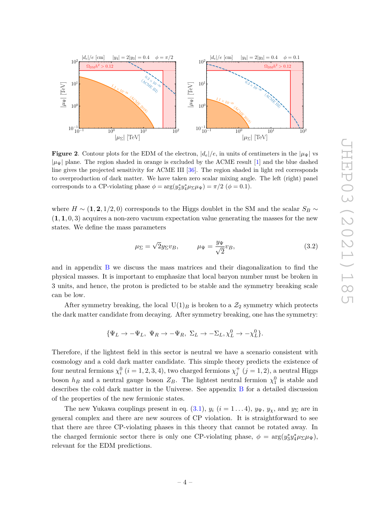

<span id="page-4-0"></span>**Figure 2.** Contour plots for the EDM of the electron,  $|d_e|/e$ , in units of centimeters in the  $|\mu_{\Psi}|$  vs  $|\mu_{\Psi}|$  plane. The region shaded in orange is excluded by the ACME result [\[1\]](#page-11-1) and the blue dashed line gives the projected sensitivity for ACME III [\[36\]](#page-13-7). The region shaded in light red corresponds to overproduction of dark matter. We have taken zero scalar mixing angle. The left (right) panel corresponds to a CP-violating phase  $\phi = \arg(y_3^* y_4^* \mu_{\Sigma} \mu_{\Psi}) = \pi/2$  ( $\phi = 0.1$ ).

where  $H \sim (1, 2, 1/2, 0)$  corresponds to the Higgs doublet in the SM and the scalar  $S_B \sim$ (**1***,* **1***,* 0*,* 3) acquires a non-zero vacuum expectation value generating the masses for the new states. We define the mass parameters

$$
\mu_{\Sigma} = \sqrt{2} y_{\Sigma} v_B, \qquad \mu_{\Psi} = \frac{y_{\Psi}}{\sqrt{2}} v_B,
$$
\n(3.2)

and in appendix [B](#page-10-0) we discuss the mass matrices and their diagonalization to find the physical masses. It is important to emphasize that local baryon number must be broken in 3 units, and hence, the proton is predicted to be stable and the symmetry breaking scale can be low.

After symmetry breaking, the local  $U(1)_B$  is broken to a  $\mathcal{Z}_2$  symmetry which protects the dark matter candidate from decaying. After symmetry breaking, one has the symmetry:

$$
\{\Psi_L \to -\Psi_L, \ \Psi_R \to -\Psi_R, \ \Sigma_L \to -\Sigma_L, \chi^0_L \to -\chi^0_L\}.
$$

Therefore, if the lightest field in this sector is neutral we have a scenario consistent with cosmology and a cold dark matter candidate. This simple theory predicts the existence of four neutral fermions  $\chi_i^0$   $(i = 1, 2, 3, 4)$ , two charged fermions  $\chi_j^+$   $(j = 1, 2)$ , a neutral Higgs boson  $h_B$  and a neutral gauge boson  $Z_B$ . The lightest neutral fermion  $\chi_1^0$  is stable and describes the cold dark matter in the Universe. See appendix [B](#page-10-0) for a detailed discussion of the properties of the new fermionic states.

The new Yukawa couplings present in eq.  $(3.1)$ ,  $y_i$   $(i = 1...4)$ ,  $y_{\Psi}$ ,  $y_{\chi}$ , and  $y_{\Sigma}$  are in general complex and there are new sources of CP violation. It is straightforward to see that there are three CP-violating phases in this theory that cannot be rotated away. In the charged fermionic sector there is only one CP-violating phase,  $\phi = \arg(y_3^* y_4^* \mu_{\Sigma} \mu_{\Psi}),$ relevant for the EDM predictions.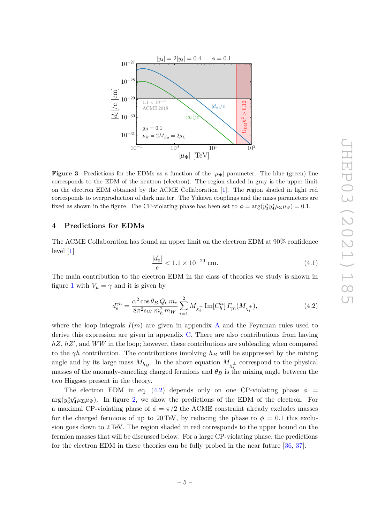

<span id="page-5-2"></span>**Figure 3.** Predictions for the EDMs as a function of the  $|\mu_{\Psi}|$  parameter. The blue (green) line corresponds to the EDM of the neutron (electron). The region shaded in gray is the upper limit on the electron EDM obtained by the ACME Collaboration [\[1\]](#page-11-1). The region shaded in light red corresponds to overproduction of dark matter. The Yukawa couplings and the mass parameters are fixed as shown in the figure. The CP-violating phase has been set to  $\phi = \arg(y_3^* y_4^* \mu_{\Sigma} \mu_{\Psi}) = 0.1$ .

#### <span id="page-5-0"></span>**4 Predictions for EDMs**

The ACME Collaboration has found an upper limit on the electron EDM at 90% confidence level [\[1\]](#page-11-1)

<span id="page-5-1"></span>
$$
\frac{|d_e|}{e} < 1.1 \times 10^{-29} \, \text{cm.} \tag{4.1}
$$

The main contribution to the electron EDM in the class of theories we study is shown in figure [1](#page-3-1) with  $V_\mu = \gamma$  and it is given by

$$
d_e^{\gamma h} = \frac{\alpha^2 \cos \theta_B Q_e m_e}{8\pi^2 s_W m_h^2 m_W} \sum_{i=1}^2 M_{\chi_i^{\pm}} \text{Im}[C_h^{ii}] I_{\gamma h}^i(M_{\chi_i^{\pm}}), \tag{4.2}
$$

where the loop integrals  $I(m)$  are given in appendix [A](#page-9-0) and the Feynman rules used to derive this expression are given in appendix [C.](#page-11-0) There are also contributions from having hZ, hZ', and WW in the loop; however, these contributions are subleading when compared to the  $\gamma h$  contribution. The contributions involving  $h_B$  will be suppressed by the mixing angle and by its large mass  $M_{h_B}$ . In the above equation  $M_{\chi_i^{\pm}}$  correspond to the physical masses of the anomaly-canceling charged fermions and  $\theta_B$  is the mixing angle between the two Higgses present in the theory.

The electron EDM in eq. [\(4.2\)](#page-5-1) depends only on one CP-violating phase  $\phi$  =  $arg(y_3^*y_4^*\mu_{\Sigma}\mu_{\Psi})$ . In figure [2,](#page-4-0) we show the predictions of the EDM of the electron. For a maximal CP-violating phase of  $\phi = \pi/2$  the ACME constraint already excludes masses for the charged fermions of up to 20 TeV, by reducing the phase to  $\phi = 0.1$  this exclusion goes down to 2 TeV. The region shaded in red corresponds to the upper bound on the fermion masses that will be discussed below. For a large CP-violating phase, the predictions for the electron EDM in these theories can be fully probed in the near future [\[36,](#page-13-7) [37\]](#page-13-8).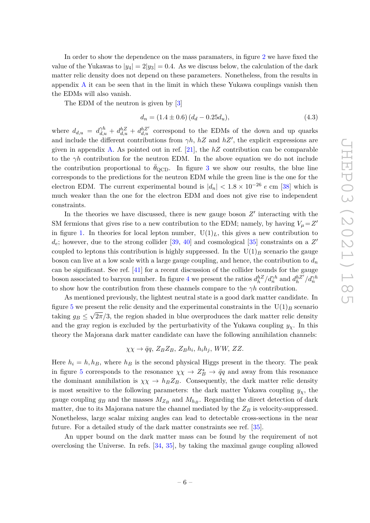In order to show the dependence on the mass paramaters, in figure [2](#page-4-0) we have fixed the value of the Yukawas to  $|y_4| = 2|y_3| = 0.4$ . As we discuss below, the calculation of the dark matter relic density does not depend on these parameters. Nonetheless, from the results in appendix  $A$  it can be seen that in the limit in which these Yukawa couplings vanish then the EDMs will also vanish.

The EDM of the neutron is given by [\[3\]](#page-11-3)

$$
d_n = (1.4 \pm 0.6) (d_d - 0.25d_u), \tag{4.3}
$$

where  $d_{d,u} = d_{d,u}^{\gamma h} + d_{d,u}^{hZ} + d_{d,u}^{hZ'}$  correspond to the EDMs of the down and up quarks and include the different contributions from  $\gamma h$ ,  $hZ$  and  $hZ'$ , the explicit expressions are given in appendix [A.](#page-9-0) As pointed out in ref. [\[21\]](#page-12-4), the *hZ* contribution can be comparable to the  $\gamma h$  contribution for the neutron EDM. In the above equation we do not include the contribution proportional to  $\theta_{\rm QCD}$ . In figure [3](#page-5-2) we show our results, the blue line corresponds to the predictions for the neutron EDM while the green line is the one for the electron EDM. The current experimental bound is  $|d_n| < 1.8 \times 10^{-26}$  *e* cm [\[38\]](#page-13-9) which is much weaker than the one for the electron EDM and does not give rise to independent constraints.

In the theories we have discussed, there is new gauge boson  $Z'$  interacting with the SM fermions that gives rise to a new contribution to the EDM; namely, by having  $V_{\mu} = Z^{\prime}$ in figure [1.](#page-3-1) In theories for local lepton number,  $U(1)_L$ , this gives a new contribution to  $d_e$ ; however, due to the strong collider [\[39,](#page-13-10) [40\]](#page-13-11) and cosmological [\[35\]](#page-13-6) constraints on a  $Z'$ coupled to leptons this contribution is highly suppressed. In the  $U(1)_B$  scenario the gauge boson can live at a low scale with a large gauge coupling, and hence, the contribution to *d<sup>n</sup>* can be significant. See ref. [\[41\]](#page-13-12) for a recent discussion of the collider bounds for the gauge boson associated to baryon number. In figure [4](#page-7-0) we present the ratios  $d_h^{hZ}/d_h^{\gamma h}$  and  $d_h^{hZ'}/d_h^{\gamma h}$ to show how the contribution from these channels compare to the  $\gamma h$  contribution.

As mentioned previously, the lightest neutral state is a good dark matter candidate. In figure [5](#page-7-1) we present the relic density and the experimental constraints in the  $\mathrm{U}(1)_B$  scenario taking  $g_B \leq \sqrt{2\pi/3}$ , the region shaded in blue overproduces the dark matter relic density and the gray region is excluded by the perturbativity of the Yukawa coupling  $y<sub>x</sub>$ . In this theory the Majorana dark matter candidate can have the following annihilation channels:

$$
\chi \chi \to \bar{q}q, Z_B Z_B, Z_B h_i, h_i h_j, WW, ZZ.
$$

Here  $h_i = h, h_B$ , where  $h_B$  is the second physical Higgs present in the theory. The peak in figure [5](#page-7-1) corresponds to the resonance  $\chi \chi \to Z_B^* \to \bar{q}q$  and away from this resonance the dominant annihilation is  $\chi \chi \to h_B Z_B$ . Consequently, the dark matter relic density is most sensitive to the following parameters: the dark matter Yukawa coupling  $y<sub>x</sub>$ , the gauge coupling  $g_B$  and the masses  $M_{Z_B}$  and  $M_{h_B}$ . Regarding the direct detection of dark matter, due to its Majorana nature the channel mediated by the  $Z_B$  is velocity-suppressed. Nonetheless, large scalar mixing angles can lead to detectable cross-sections in the near future. For a detailed study of the dark matter constraints see ref. [\[35\]](#page-13-6).

An upper bound on the dark matter mass can be found by the requirement of not overclosing the Universe. In refs. [\[34,](#page-13-5) [35\]](#page-13-6), by taking the maximal gauge coupling allowed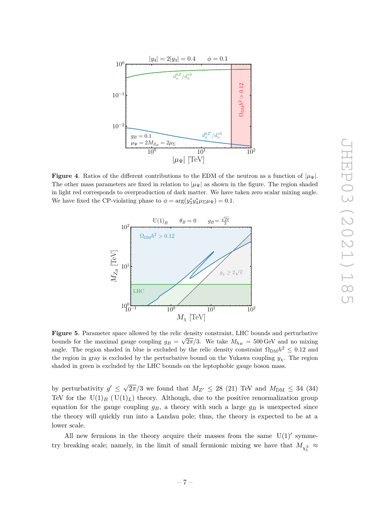

<span id="page-7-0"></span>**Figure 4.** Ratios of the different contributions to the EDM of the neutron as a function of  $|\mu_{\Psi}|$ . The other mass parameters are fixed in relation to  $|\mu_{\Psi}|$  as shown in the figure. The region shaded in light red corresponds to overproduction of dark matter. We have taken zero scalar mixing angle. We have fixed the CP-violating phase to  $\phi = \arg(y_3^* y_4^* \mu_{\Sigma} \mu_{\Psi}) = 0.1$ .



<span id="page-7-1"></span>**Figure 5**. Parameter space allowed by the relic density constraint, LHC bounds and perturbative bounds for the maximal gauge coupling  $g_B = \sqrt{2\pi/3}$ . We take  $M_{h_B} = 500 \,\text{GeV}$  and no mixing angle. The region shaded in blue is excluded by the relic density constraint  $\Omega_{\text{DM}}h^2 \leq 0.12$  and the region in gray is excluded by the perturbative bound on the Yukawa coupling  $y_\chi$ . The region shaded in green is excluded by the LHC bounds on the leptophobic gauge boson mass.

by perturbativity  $g' \leq \sqrt{g}$  $2\pi/3$  we found that  $M_{Z'} \leq 28$  (21) TeV and  $M_{DM} \leq 34$  (34) TeV for the  $U(1)_B$  ( $U(1)_L$ ) theory. Although, due to the positive renormalization group equation for the gauge coupling  $q_B$ , a theory with such a large  $q_B$  is unexpected since the theory will quickly run into a Landau pole; thus, the theory is expected to be at a lower scale.

All new fermions in the theory acquire their masses from the same  $U(1)$ ' symmetry breaking scale; namely, in the limit of small fermionic mixing we have that  $M_{\chi_1^\pm} \approx$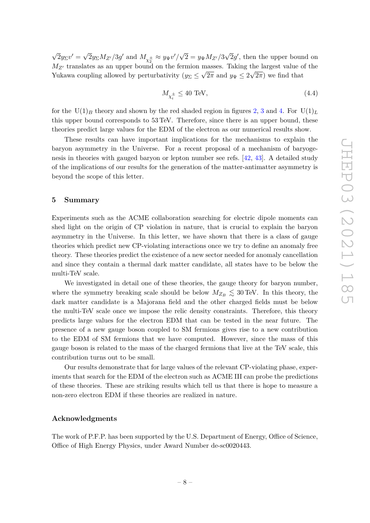√  $\overline{2}y_{\Sigma}v'=\sqrt{2}$  $\overline{2}y_{\Sigma}M_{Z'}/3g'$  and  $M_{\chi_2^{\pm}} \approx y_{\Psi}v'/\sqrt{g}$  $2 = y_{\Psi} M_{Z'}/3$ √  $\overline{2}g'$ , then the upper bound on  $M_{Z'}$  translates as an upper bound on the fermion masses. Taking the largest value of the Yukawa coupling allowed by perturbativity  $(y_{\Sigma} \leq \sqrt{2\pi} \text{ and } y_{\Psi} \leq 2\sqrt{2\pi})$  we find that

$$
M_{\chi_i^{\pm}} \le 40 \text{ TeV},\tag{4.4}
$$

for the  $U(1)_B$  theory and shown by the red shaded region in figures [2,](#page-4-0) [3](#page-5-2) and [4.](#page-7-0) For  $U(1)_L$ this upper bound corresponds to 53 TeV. Therefore, since there is an upper bound, these theories predict large values for the EDM of the electron as our numerical results show.

These results can have important implications for the mechanisms to explain the baryon asymmetry in the Universe. For a recent proposal of a mechanism of baryogenesis in theories with gauged baryon or lepton number see refs. [\[42,](#page-13-13) [43\]](#page-13-14). A detailed study of the implications of our results for the generation of the matter-antimatter asymmetry is beyond the scope of this letter.

## <span id="page-8-0"></span>**5 Summary**

Experiments such as the ACME collaboration searching for electric dipole moments can shed light on the origin of CP violation in nature, that is crucial to explain the baryon asymmetry in the Universe. In this letter, we have shown that there is a class of gauge theories which predict new CP-violating interactions once we try to define an anomaly free theory. These theories predict the existence of a new sector needed for anomaly cancellation and since they contain a thermal dark matter candidate, all states have to be below the multi-TeV scale.

We investigated in detail one of these theories, the gauge theory for baryon number, where the symmetry breaking scale should be below  $M_{Z_B} \lesssim 30$  TeV. In this theory, the dark matter candidate is a Majorana field and the other charged fields must be below the multi-TeV scale once we impose the relic density constraints. Therefore, this theory predicts large values for the electron EDM that can be tested in the near future. The presence of a new gauge boson coupled to SM fermions gives rise to a new contribution to the EDM of SM fermions that we have computed. However, since the mass of this gauge boson is related to the mass of the charged fermions that live at the TeV scale, this contribution turns out to be small.

Our results demonstrate that for large values of the relevant CP-violating phase, experiments that search for the EDM of the electron such as ACME III can probe the predictions of these theories. These are striking results which tell us that there is hope to measure a non-zero electron EDM if these theories are realized in nature.

#### **Acknowledgments**

The work of P.F.P. has been supported by the U.S. Department of Energy, Office of Science, Office of High Energy Physics, under Award Number de-sc0020443.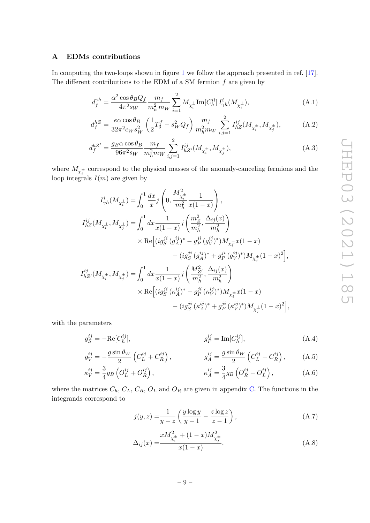# <span id="page-9-0"></span>**A EDMs contributions**

In computing the two-loops shown in figure [1](#page-3-1) we follow the approach presented in ref. [\[17\]](#page-12-8). The different contributions to the EDM of a SM fermion *f* are given by

$$
d_f^{\gamma h} = \frac{\alpha^2 \cos \theta_B Q_f}{4\pi^2 s_W} \frac{m_f}{m_h^2 m_W} \sum_{i=1}^2 M_{\chi_i^{\pm}} \text{Im}[C_h^{ii}] I_{\gamma h}^i(M_{\chi_i^{\pm}}), \tag{A.1}
$$

$$
d_f^{hZ} = \frac{e\alpha\cos\theta_B}{32\pi^2 c_W s_W^2} \left(\frac{1}{2}T_3^f - s_W^2 Q_f\right) \frac{m_f}{m_h^2 m_W} \sum_{i,j=1}^2 I_{hZ}^{ij} (M_{\chi_i^{\pm}}, M_{\chi_j^{\pm}}),\tag{A.2}
$$

$$
d_f^{hZ'} = \frac{g_B \alpha \cos \theta_B}{96\pi^2 s_W} \frac{m_f}{m_h^2 m_W} \sum_{i,j=1}^2 I_{hZ'}^{ij}(M_{\chi_i^{\pm}}, M_{\chi_j^{\pm}}), \tag{A.3}
$$

where  $M_{\chi_i^{\pm}}$  correspond to the physical masses of the anomaly-canceling fermions and the loop integrals  $I(m)$  are given by

$$
I_{\gamma h}^{i}(M_{\chi_{i}^{\pm}}) = \int_{0}^{1} \frac{dx}{x} j\left(0, \frac{M_{\chi_{i}^{\pm}}^{2}}{m_{h}^{2}} \frac{1}{x(1-x)}\right),
$$
  
\n
$$
I_{hZ}^{ij}(M_{\chi_{i}^{\pm}}, M_{\chi_{j}^{\pm}}) = \int_{0}^{1} dx \frac{1}{x(1-x)} j\left(\frac{m_{Z}^{2}}{m_{h}^{2}}, \frac{\Delta_{ij}(x)}{m_{h}^{2}}\right)
$$
  
\n
$$
\times \text{Re}\left[(ig_{S}^{ji}(g_{A}^{ij})^{*} - g_{P}^{ji}(g_{V}^{ij})^{*})M_{\chi_{i}^{\pm}} x(1-x) - (ig_{S}^{ji}(g_{A}^{ij})^{*} + g_{P}^{ji}(g_{V}^{ij})^{*})M_{\chi_{j}^{\pm}} (1-x)^{2}\right],
$$
  
\n
$$
I_{hZ'}^{ij}(M_{\chi_{i}^{\pm}}, M_{\chi_{j}^{\pm}}) = \int_{0}^{1} dx \frac{1}{x(1-x)} j\left(\frac{M_{Z'}^{2}}{m_{h}^{2}}, \frac{\Delta_{ij}(x)}{m_{h}^{2}}\right)
$$
  
\n
$$
\times \text{Re}\left[(ig_{S}^{ji}(k_{A}^{ij})^{*} - g_{P}^{ji}(k_{V}^{ij})^{*})M_{\chi_{i}^{\pm}} x(1-x) - (ig_{S}^{ji}(k_{A}^{ij})^{*} + g_{P}^{ji}(k_{V}^{ij})^{*})M_{\chi_{j}^{\pm}} (1-x)^{2}\right],
$$

with the parameters

$$
g_S^{ij} = -\text{Re}[C_h^{ij}], \qquad g_P^{ij} = \text{Im}[C_h^{ij}], \qquad (A.4)
$$

$$
g_V^{ij} = -\frac{g\sin\theta_W}{2} \left( C_L^{ij} + C_R^{ij} \right), \qquad g_A^{ij} = \frac{g\sin\theta_W}{2} \left( C_L^{ij} - C_R^{ij} \right), \qquad (A.5)
$$

$$
\kappa_V^{ij} = \frac{3}{4} g_B \left( O_L^{ij} + O_R^{ij} \right), \qquad \qquad \kappa_A^{ij} = \frac{3}{4} g_B \left( O_R^{ij} - O_L^{ij} \right), \qquad (A.6)
$$

where the matrices  $C_h$ ,  $C_L$ ,  $C_R$ ,  $O_L$  and  $O_R$  are given in appendix [C.](#page-11-0) The functions in the integrands correspond to

$$
j(y,z) = \frac{1}{y-z} \left( \frac{y \log y}{y-1} - \frac{z \log z}{z-1} \right),\tag{A.7}
$$

$$
\Delta_{ij}(x) = \frac{xM_{\chi_i^{\pm}}^2 + (1-x)M_{\chi_j^{\pm}}^2}{x(1-x)}.
$$
\n(A.8)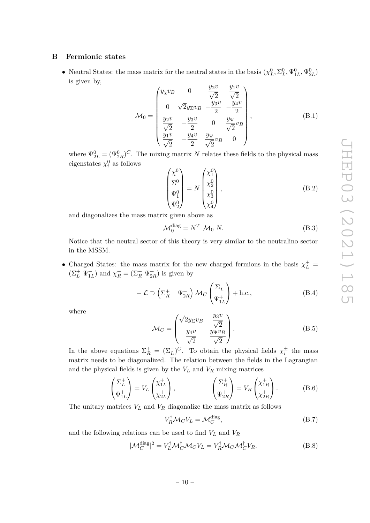## <span id="page-10-0"></span>**B Fermionic states**

• Neutral States: the mass matrix for the neutral states in the basis  $(\chi_L^0, \Sigma_L^0, \Psi_{1L}^0, \Psi_{2L}^0)$ is given by,  $y(2)$ 

$$
\mathcal{M}_0 = \begin{pmatrix} y_{\chi}v_B & 0 & \frac{y_2v}{\sqrt{2}} & \frac{y_1v}{\sqrt{2}} \\ 0 & \sqrt{2}y_{\Sigma}v_B & -\frac{y_3v}{2} & -\frac{y_4v}{2} \\ \frac{y_2v}{\sqrt{2}} & -\frac{y_3v}{2} & 0 & \frac{y_\Psi}{\sqrt{2}}v_B \\ \frac{y_1v}{\sqrt{2}} & -\frac{y_4v}{2} & \frac{y_\Psi}{\sqrt{2}}v_B & 0 \end{pmatrix},
$$
(B.1)

where  $\Psi_{2L}^{0} = (\Psi_{2R}^{0})^C$ . The mixing matrix *N* relates these fields to the physical mass eigenstates  $\chi_i^0$  as follows

$$
\begin{pmatrix} \chi^0 \\ \Sigma^0 \\ \Psi_1^0 \\ \Psi_2^0 \end{pmatrix} = N \begin{pmatrix} \chi_1^0 \\ \chi_2^0 \\ \chi_3^0 \\ \chi_4^0 \end{pmatrix},
$$
\n(B.2)

and diagonalizes the mass matrix given above as

$$
\mathcal{M}_0^{\text{diag}} = N^T \mathcal{M}_0 \ N. \tag{B.3}
$$

Notice that the neutral sector of this theory is very similar to the neutralino sector in the MSSM.

• Charged States: the mass matrix for the new charged fermions in the basis  $\chi^+_L$  =  $(\Sigma^+_L \Psi^+_{1L})$  and  $\chi^+_R = (\Sigma^+_R \Psi^+_{2R})$  is given by

$$
-\mathcal{L} \supset \left(\overline{\Sigma_R^+} \quad \overline{\Psi_{2R}^+}\right) \mathcal{M}_C \begin{pmatrix} \Sigma_L^+\\ \Psi_{1L}^+ \end{pmatrix} + \text{h.c.},\tag{B.4}
$$

where

$$
\mathcal{M}_C = \begin{pmatrix} \sqrt{2}y_{\Sigma}v_B & \frac{y_3v}{\sqrt{2}}\\ \frac{y_4v}{\sqrt{2}} & \frac{y_\Psi v_B}{\sqrt{2}} \end{pmatrix} .
$$
 (B.5)

In the above equations  $\Sigma_R^+ = (\Sigma_L^-)^C$ . To obtain the physical fields  $\chi_i^{\pm}$  the mass matrix needs to be diagonalized. The relation between the fields in the Lagrangian and the physical fields is given by the  $V_L$  and  $V_R$  mixing matrices

$$
\begin{pmatrix} \Sigma_L^+ \\ \Psi_{1L}^+ \end{pmatrix} = V_L \begin{pmatrix} \chi_{1L}^+ \\ \chi_{2L}^+ \end{pmatrix}, \qquad \begin{pmatrix} \Sigma_R^+ \\ \Psi_{2R}^+ \end{pmatrix} = V_R \begin{pmatrix} \chi_{1R}^+ \\ \chi_{2R}^+ \end{pmatrix}.
$$
 (B.6)

The unitary matrices  $V_L$  and  $V_R$  diagonalize the mass matrix as follows

$$
V_R^{\dagger} \mathcal{M}_C V_L = \mathcal{M}_C^{\text{diag}},\tag{B.7}
$$

and the following relations can be used to find *V<sup>L</sup>* and *V<sup>R</sup>*

$$
|\mathcal{M}_C^{\text{diag}}|^2 = V_L^{\dagger} \mathcal{M}_C^{\dagger} \mathcal{M}_C V_L = V_R^{\dagger} \mathcal{M}_C \mathcal{M}_C^{\dagger} V_R.
$$
 (B.8)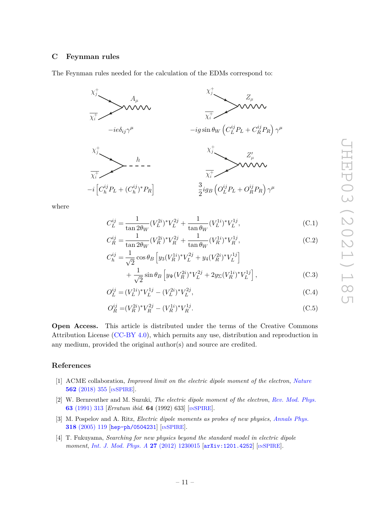#### <span id="page-11-0"></span>**C Feynman rules**

The Feynman rules needed for the calculation of the EDMs correspond to:



where

$$
C_L^{ij} = \frac{1}{\tan 2\theta_W} (V_L^{2i})^* V_L^{2j} + \frac{1}{\tan \theta_W} (V_L^{1i})^* V_L^{1j}, \tag{C.1}
$$

$$
C_R^{ij} = \frac{1}{\tan 2\theta_W} (V_R^{2i})^* V_R^{2j} + \frac{1}{\tan \theta_W} (V_R^{1i})^* V_R^{1j}, \tag{C.2}
$$

$$
C_h^{ij} = \frac{1}{\sqrt{2}} \cos \theta_B \left[ y_3 (V_R^{1i})^* V_L^{2j} + y_4 (V_R^{2i})^* V_L^{1j} \right] + \frac{1}{\sqrt{2}} \sin \theta_B \left[ y_\Psi (V_R^{2i})^* V_L^{2j} + 2 y_\Sigma (V_R^{1i})^* V_L^{1j} \right],
$$
(C.3)

$$
O_L^{ij} = (V_L^{1i})^* V_L^{1j} - (V_L^{2i})^* V_L^{2j},\tag{C.4}
$$

$$
O_R^{ij} = (V_R^{2i})^* V_R^{2j} - (V_R^{1i})^* V_R^{1j}.
$$
\n(C.5)

**Open Access.** This article is distributed under the terms of the Creative Commons Attribution License [\(CC-BY 4.0\)](https://creativecommons.org/licenses/by/4.0/), which permits any use, distribution and reproduction in any medium, provided the original author(s) and source are credited.

# **References**

- <span id="page-11-1"></span>[1] ACME collaboration, *Improved limit on the electric dipole moment of the electron*, *[Nature](https://doi.org/10.1038/s41586-018-0599-8)* **562** [\(2018\) 355](https://doi.org/10.1038/s41586-018-0599-8) [IN[SPIRE](https://inspirehep.net/search?p=find+J%20%22Nature%2C562%2C355%22)].
- <span id="page-11-2"></span>[2] W. Bernreuther and M. Suzuki, *The electric dipole moment of the electron*, *[Rev. Mod. Phys.](https://doi.org/10.1103/RevModPhys.63.313)* **63** [\(1991\) 313](https://doi.org/10.1103/RevModPhys.63.313) [*Erratum ibid.* **64** (1992) 633] [IN[SPIRE](https://inspirehep.net/search?p=find+J%20%22Rev.Mod.Phys.%2C63%2C313%22)].
- <span id="page-11-3"></span>[3] M. Pospelov and A. Ritz, *Electric dipole moments as probes of new physics*, *[Annals Phys.](https://doi.org/10.1016/j.aop.2005.04.002)* **318** [\(2005\) 119](https://doi.org/10.1016/j.aop.2005.04.002) [[hep-ph/0504231](https://arxiv.org/abs/hep-ph/0504231)] [IN[SPIRE](https://inspirehep.net/search?p=find+EPRINT%2Bhep-ph%2F0504231)].
- [4] T. Fukuyama, *Searching for new physics beyond the standard model in electric dipole moment*, *[Int. J. Mod. Phys. A](https://doi.org/10.1142/S0217751X12300153)* **27** (2012) 1230015 [[arXiv:1201.4252](https://arxiv.org/abs/1201.4252)] [IN[SPIRE](https://inspirehep.net/search?p=find+EPRINT%2BarXiv%3A1201.4252)].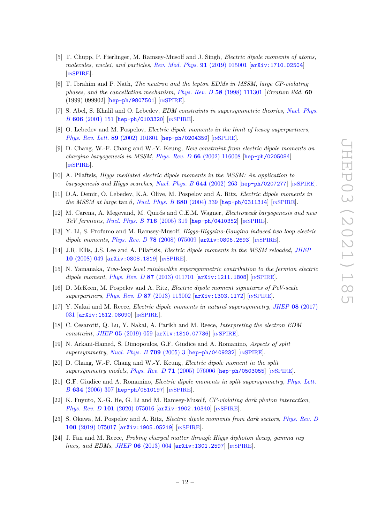- <span id="page-12-0"></span>[5] T. Chupp, P. Fierlinger, M. Ramsey-Musolf and J. Singh, *Electric dipole moments of atoms, molecules, nuclei, and particles*, *[Rev. Mod. Phys.](https://doi.org/10.1103/RevModPhys.91.015001)* **91** (2019) 015001 [[arXiv:1710.02504](https://arxiv.org/abs/1710.02504)] [IN[SPIRE](https://inspirehep.net/search?p=find+EPRINT%2BarXiv%3A1710.02504)].
- <span id="page-12-1"></span>[6] T. Ibrahim and P. Nath, *The neutron and the lepton EDMs in MSSM, large CP-violating phases, and the cancellation mechanism*, *Phys. Rev. D* **58** [\(1998\) 111301](https://doi.org/10.1103/PhysRevD.58.111301) [*Erratum ibid.* **60** (1999) 099902] [[hep-ph/9807501](https://arxiv.org/abs/hep-ph/9807501)] [IN[SPIRE](https://inspirehep.net/search?p=find+EPRINT%2Bhep-ph%2F9807501)].
- [7] S. Abel, S. Khalil and O. Lebedev, *EDM constraints in supersymmetric theories*, *[Nucl. Phys.](https://doi.org/10.1016/S0550-3213(01)00233-4) B* **606** [\(2001\) 151](https://doi.org/10.1016/S0550-3213(01)00233-4) [[hep-ph/0103320](https://arxiv.org/abs/hep-ph/0103320)] [IN[SPIRE](https://inspirehep.net/search?p=find+EPRINT%2Bhep-ph%2F0103320)].
- [8] O. Lebedev and M. Pospelov, *Electric dipole moments in the limit of heavy superpartners*, *[Phys. Rev. Lett.](https://doi.org/10.1103/PhysRevLett.89.101801)* **89** (2002) 101801 [[hep-ph/0204359](https://arxiv.org/abs/hep-ph/0204359)] [IN[SPIRE](https://inspirehep.net/search?p=find+EPRINT%2Bhep-ph%2F0204359)].
- [9] D. Chang, W.-F. Chang and W.-Y. Keung, *New constraint from electric dipole moments on chargino baryogenesis in MSSM*, *Phys. Rev. D* **66** [\(2002\) 116008](https://doi.org/10.1103/PhysRevD.66.116008) [[hep-ph/0205084](https://arxiv.org/abs/hep-ph/0205084)] [IN[SPIRE](https://inspirehep.net/search?p=find+EPRINT%2Bhep-ph%2F0205084)].
- [10] A. Pilaftsis, *Higgs mediated electric dipole moments in the MSSM: An application to baryogenesis and Higgs searches*, *[Nucl. Phys. B](https://doi.org/10.1016/S0550-3213(02)00826-X)* **644** (2002) 263 [[hep-ph/0207277](https://arxiv.org/abs/hep-ph/0207277)] [IN[SPIRE](https://inspirehep.net/search?p=find+EPRINT%2Bhep-ph%2F0207277)].
- [11] D.A. Demir, O. Lebedev, K.A. Olive, M. Pospelov and A. Ritz, *Electric dipole moments in the MSSM at large*  $\tan \beta$ , *[Nucl. Phys. B](https://doi.org/10.1016/j.nuclphysb.2003.12.026)* **680** (2004) 339 [[hep-ph/0311314](https://arxiv.org/abs/hep-ph/0311314)] [IN[SPIRE](https://inspirehep.net/search?p=find+EPRINT%2Bhep-ph%2F0311314)].
- [12] M. Carena, A. Megevand, M. Quirós and C.E.M. Wagner, *Electroweak baryogenesis and new TeV fermions*, *[Nucl. Phys. B](https://doi.org/10.1016/j.nuclphysb.2005.03.025)* **716** (2005) 319 [[hep-ph/0410352](https://arxiv.org/abs/hep-ph/0410352)] [IN[SPIRE](https://inspirehep.net/search?p=find+EPRINT%2Bhep-ph%2F0410352)].
- [13] Y. Li, S. Profumo and M. Ramsey-Musolf, *Higgs-Higgsino-Gaugino induced two loop electric dipole moments*, *Phys. Rev. D* **78** [\(2008\) 075009](https://doi.org/10.1103/PhysRevD.78.075009) [[arXiv:0806.2693](https://arxiv.org/abs/0806.2693)] [IN[SPIRE](https://inspirehep.net/search?p=find+EPRINT%2BarXiv%3A0806.2693)].
- [14] J.R. Ellis, J.S. Lee and A. Pilaftsis, *Electric dipole moments in the MSSM reloaded*, *[JHEP](https://doi.org/10.1088/1126-6708/2008/10/049)* **10** [\(2008\) 049](https://doi.org/10.1088/1126-6708/2008/10/049) [[arXiv:0808.1819](https://arxiv.org/abs/0808.1819)] [IN[SPIRE](https://inspirehep.net/search?p=find+EPRINT%2BarXiv%3A0808.1819)].
- [15] N. Yamanaka, *Two-loop level rainbowlike supersymmetric contribution to the fermion electric dipole moment*, *Phys. Rev. D* 87 [\(2013\) 011701](https://doi.org/10.1103/PhysRevD.87.011701) [[arXiv:1211.1808](https://arxiv.org/abs/1211.1808)] [IN[SPIRE](https://inspirehep.net/search?p=find+EPRINT%2BarXiv%3A1211.1808)].
- [16] D. McKeen, M. Pospelov and A. Ritz, *Electric dipole moment signatures of PeV-scale superpartners*, *Phys. Rev. D* **87** [\(2013\) 113002](https://doi.org/10.1103/PhysRevD.87.113002) [[arXiv:1303.1172](https://arxiv.org/abs/1303.1172)] [IN[SPIRE](https://inspirehep.net/search?p=find+EPRINT%2BarXiv%3A1303.1172)].
- <span id="page-12-8"></span>[17] Y. Nakai and M. Reece, *Electric dipole moments in natural supersymmetry*, *JHEP* **08** [\(2017\)](https://doi.org/10.1007/JHEP08(2017)031) [031](https://doi.org/10.1007/JHEP08(2017)031) [[arXiv:1612.08090](https://arxiv.org/abs/1612.08090)] [IN[SPIRE](https://inspirehep.net/search?p=find+EPRINT%2BarXiv%3A1612.08090)].
- <span id="page-12-2"></span>[18] C. Cesarotti, Q. Lu, Y. Nakai, A. Parikh and M. Reece, *Interpreting the electron EDM constraint*, *JHEP* **05** [\(2019\) 059](https://doi.org/10.1007/JHEP05(2019)059) [[arXiv:1810.07736](https://arxiv.org/abs/1810.07736)] [IN[SPIRE](https://inspirehep.net/search?p=find+EPRINT%2BarXiv%3A1810.07736)].
- <span id="page-12-3"></span>[19] N. Arkani-Hamed, S. Dimopoulos, G.F. Giudice and A. Romanino, *Aspects of split supersymmetry*, *[Nucl. Phys. B](https://doi.org/10.1016/j.nuclphysb.2004.12.026)* **709** (2005) 3 [[hep-ph/0409232](https://arxiv.org/abs/hep-ph/0409232)] [IN[SPIRE](https://inspirehep.net/search?p=find+EPRINT%2Bhep-ph%2F0409232)].
- [20] D. Chang, W.-F. Chang and W.-Y. Keung, *Electric dipole moment in the split supersymmetry models*, *Phys. Rev. D* **71** [\(2005\) 076006](https://doi.org/10.1103/PhysRevD.71.076006) [[hep-ph/0503055](https://arxiv.org/abs/hep-ph/0503055)] [IN[SPIRE](https://inspirehep.net/search?p=find+EPRINT%2Bhep-ph%2F0503055)].
- <span id="page-12-4"></span>[21] G.F. Giudice and A. Romanino, *Electric dipole moments in split supersymmetry*, *[Phys. Lett.](https://doi.org/10.1016/j.physletb.2006.01.027) B* **634** [\(2006\) 307](https://doi.org/10.1016/j.physletb.2006.01.027) [[hep-ph/0510197](https://arxiv.org/abs/hep-ph/0510197)] [IN[SPIRE](https://inspirehep.net/search?p=find+EPRINT%2Bhep-ph%2F0510197)].
- <span id="page-12-5"></span>[22] K. Fuyuto, X.-G. He, G. Li and M. Ramsey-Musolf, *CP-violating dark photon interaction*, *Phys. Rev. D* **101** [\(2020\) 075016](https://doi.org/10.1103/PhysRevD.101.075016) [[arXiv:1902.10340](https://arxiv.org/abs/1902.10340)] [IN[SPIRE](https://inspirehep.net/search?p=find+EPRINT%2BarXiv%3A1902.10340)].
- <span id="page-12-6"></span>[23] S. Okawa, M. Pospelov and A. Ritz, *Electric dipole moments from dark sectors*, *[Phys. Rev. D](https://doi.org/10.1103/PhysRevD.100.075017)* **100** [\(2019\) 075017](https://doi.org/10.1103/PhysRevD.100.075017) [[arXiv:1905.05219](https://arxiv.org/abs/1905.05219)] [IN[SPIRE](https://inspirehep.net/search?p=find+EPRINT%2BarXiv%3A1905.05219)].
- <span id="page-12-7"></span>[24] J. Fan and M. Reece, *Probing charged matter through Higgs diphoton decay, gamma ray lines, and EDMs*, *JHEP* **06** [\(2013\) 004](https://doi.org/10.1007/JHEP06(2013)004) [[arXiv:1301.2597](https://arxiv.org/abs/1301.2597)] [IN[SPIRE](https://inspirehep.net/search?p=find+EPRINT%2BarXiv%3A1301.2597)].